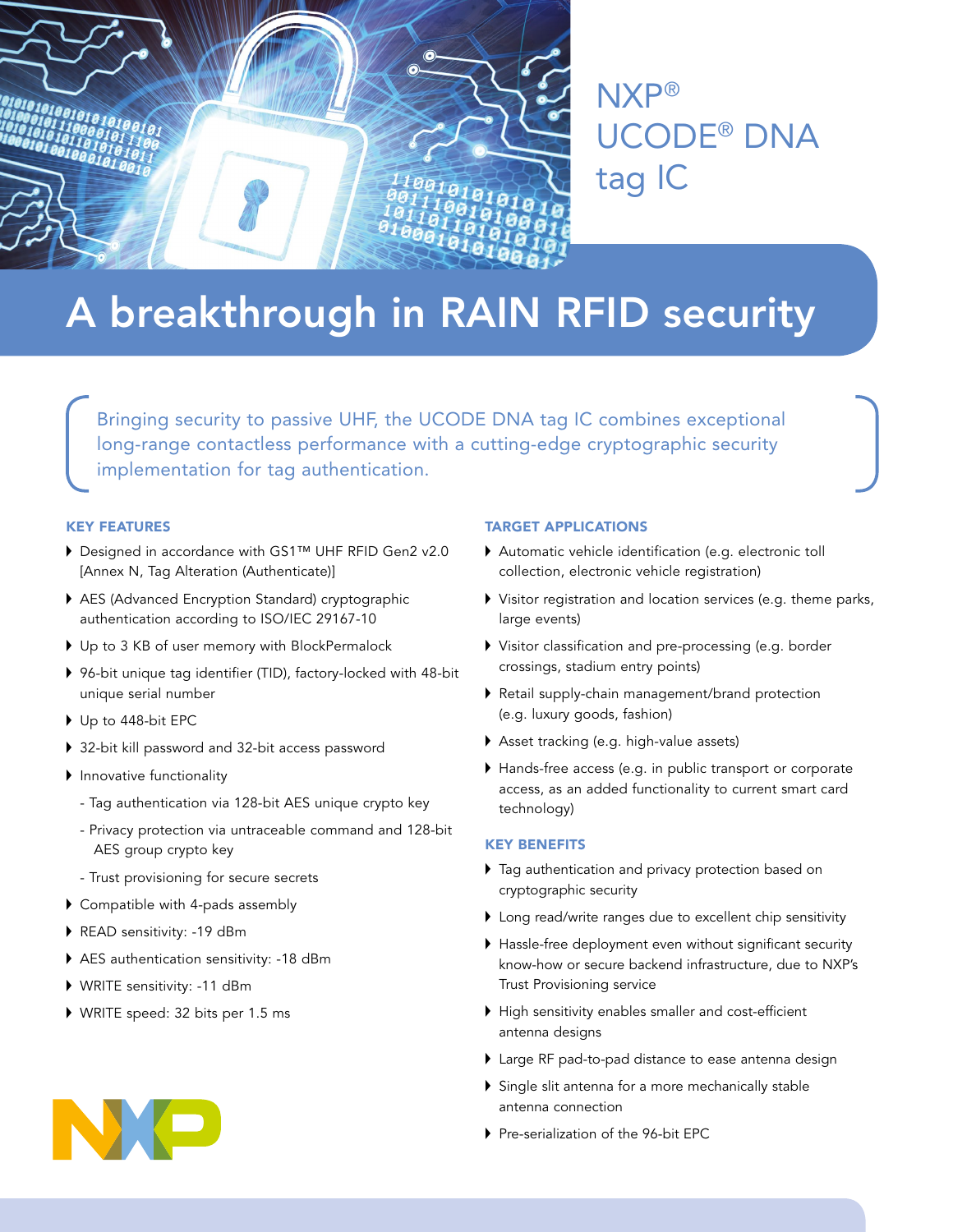

NXP® UCODE® DNA tag IC

# A breakthrough in RAIN RFID security

Bringing security to passive UHF, the UCODE DNA tag IC combines exceptional long-range contactless performance with a cutting-edge cryptographic security implementation for tag authentication.

#### KEY FEATURES

- ▶ Designed in accordance with GS1™ UHF RFID Gen2 v2.0 [Annex N, Tag Alteration (Authenticate)]
- AES (Advanced Encryption Standard) cryptographic authentication according to ISO/IEC 29167-10
- ▶ Up to 3 KB of user memory with BlockPermalock
- ▶ 96-bit unique tag identifier (TID), factory-locked with 48-bit unique serial number
- $\triangleright$  Up to 448-bit EPC
- ▶ 32-bit kill password and 32-bit access password
- $\blacktriangleright$  Innovative functionality
	- Tag authentication via 128-bit AES unique crypto key
	- Privacy protection via untraceable command and 128-bit AES group crypto key
	- Trust provisioning for secure secrets
- $\triangleright$  Compatible with 4-pads assembly
- READ sensitivity: -19 dBm
- AES authentication sensitivity: -18 dBm
- WRITE sensitivity: -11 dBm
- WRITE speed: 32 bits per 1.5 ms

## TARGET APPLICATIONS

- Automatic vehicle identification (e.g. electronic toll collection, electronic vehicle registration)
- $\blacktriangleright$  Visitor registration and location services (e.g. theme parks, large events)
- Visitor classification and pre-processing (e.g. border crossings, stadium entry points)
- Retail supply-chain management/brand protection (e.g. luxury goods, fashion)
- $\blacktriangleright$  Asset tracking (e.g. high-value assets)
- $\blacktriangleright$  Hands-free access (e.g. in public transport or corporate access, as an added functionality to current smart card technology)

#### KEY BENEFITS

- $\blacktriangleright$  Tag authentication and privacy protection based on cryptographic security
- $\blacktriangleright$  Long read/write ranges due to excellent chip sensitivity
- $\blacktriangleright$  Hassle-free deployment even without significant security know-how or secure backend infrastructure, due to NXP's Trust Provisioning service
- $\blacktriangleright$  High sensitivity enables smaller and cost-efficient antenna designs
- I Large RF pad-to-pad distance to ease antenna design
- $\triangleright$  Single slit antenna for a more mechanically stable antenna connection
- Pre-serialization of the 96-bit EPC